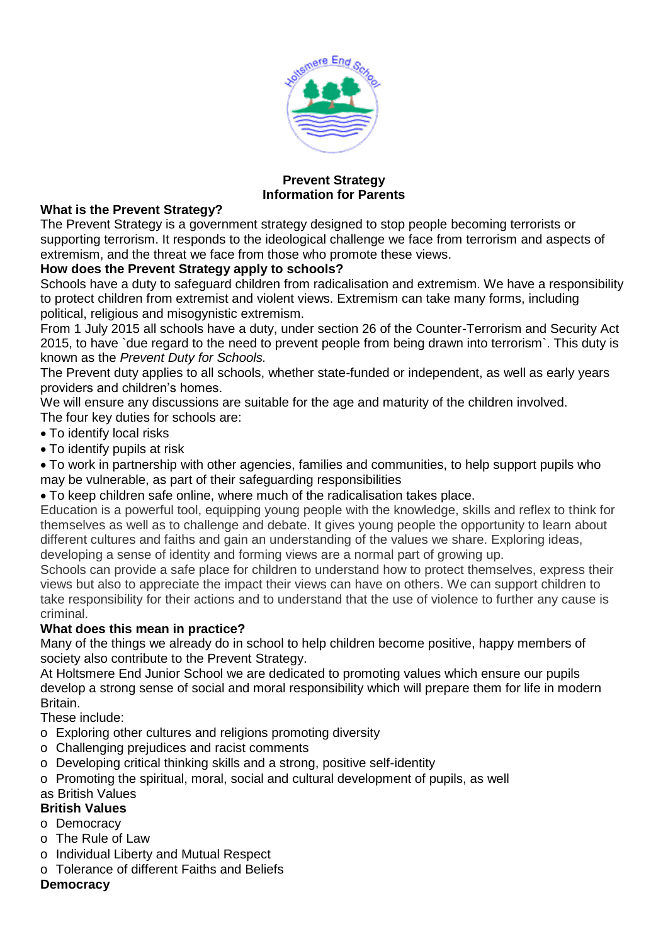

#### **Prevent Strategy Information for Parents**

#### **What is the Prevent Strategy?**

The Prevent Strategy is a government strategy designed to stop people becoming terrorists or supporting terrorism. It responds to the ideological challenge we face from terrorism and aspects of extremism, and the threat we face from those who promote these views.

### **How does the Prevent Strategy apply to schools?**

Schools have a duty to safeguard children from radicalisation and extremism. We have a responsibility to protect children from extremist and violent views. Extremism can take many forms, including political, religious and misogynistic extremism.

From 1 July 2015 all schools have a duty, under section 26 of the Counter-Terrorism and Security Act 2015, to have `due regard to the need to prevent people from being drawn into terrorism`. This duty is known as the *Prevent Duty for Schools.*

The Prevent duty applies to all schools, whether state-funded or independent, as well as early years providers and children's homes.

We will ensure any discussions are suitable for the age and maturity of the children involved. The four key duties for schools are:

- To identify local risks
- To identify pupils at risk

To work in partnership with other agencies, families and communities, to help support pupils who may be vulnerable, as part of their safeguarding responsibilities

To keep children safe online, where much of the radicalisation takes place.

Education is a powerful tool, equipping young people with the knowledge, skills and reflex to think for themselves as well as to challenge and debate. It gives young people the opportunity to learn about different cultures and faiths and gain an understanding of the values we share. Exploring ideas, developing a sense of identity and forming views are a normal part of growing up.

Schools can provide a safe place for children to understand how to protect themselves, express their views but also to appreciate the impact their views can have on others. We can support children to take responsibility for their actions and to understand that the use of violence to further any cause is criminal.

#### **What does this mean in practice?**

Many of the things we already do in school to help children become positive, happy members of society also contribute to the Prevent Strategy.

At Holtsmere End Junior School we are dedicated to promoting values which ensure our pupils develop a strong sense of social and moral responsibility which will prepare them for life in modern Britain.

These include:

- o Exploring other cultures and religions promoting diversity
- o Challenging prejudices and racist comments
- o Developing critical thinking skills and a strong, positive self-identity
- o Promoting the spiritual, moral, social and cultural development of pupils, as well

#### as British Values

# **British Values**

- o Democracy
- o The Rule of Law
- o Individual Liberty and Mutual Respect
- o Tolerance of different Faiths and Beliefs

#### **Democracy**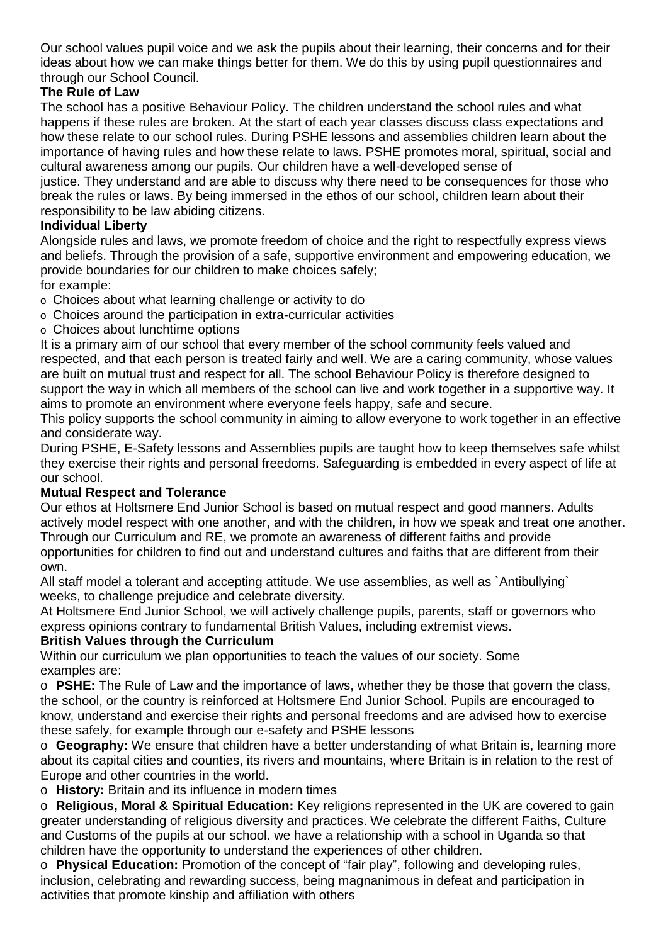Our school values pupil voice and we ask the pupils about their learning, their concerns and for their ideas about how we can make things better for them. We do this by using pupil questionnaires and through our School Council.

## **The Rule of Law**

The school has a positive Behaviour Policy. The children understand the school rules and what happens if these rules are broken. At the start of each year classes discuss class expectations and how these relate to our school rules. During PSHE lessons and assemblies children learn about the importance of having rules and how these relate to laws. PSHE promotes moral, spiritual, social and cultural awareness among our pupils. Our children have a well-developed sense of

justice. They understand and are able to discuss why there need to be consequences for those who break the rules or laws. By being immersed in the ethos of our school, children learn about their responsibility to be law abiding citizens.

### **Individual Liberty**

Alongside rules and laws, we promote freedom of choice and the right to respectfully express views and beliefs. Through the provision of a safe, supportive environment and empowering education, we provide boundaries for our children to make choices safely;

for example:

- o Choices about what learning challenge or activity to do
- o Choices around the participation in extra-curricular activities
- o Choices about lunchtime options

It is a primary aim of our school that every member of the school community feels valued and respected, and that each person is treated fairly and well. We are a caring community, whose values are built on mutual trust and respect for all. The school Behaviour Policy is therefore designed to support the way in which all members of the school can live and work together in a supportive way. It aims to promote an environment where everyone feels happy, safe and secure.

This policy supports the school community in aiming to allow everyone to work together in an effective and considerate way.

During PSHE, E-Safety lessons and Assemblies pupils are taught how to keep themselves safe whilst they exercise their rights and personal freedoms. Safeguarding is embedded in every aspect of life at our school.

#### **Mutual Respect and Tolerance**

Our ethos at Holtsmere End Junior School is based on mutual respect and good manners. Adults actively model respect with one another, and with the children, in how we speak and treat one another. Through our Curriculum and RE, we promote an awareness of different faiths and provide opportunities for children to find out and understand cultures and faiths that are different from their own.

All staff model a tolerant and accepting attitude. We use assemblies, as well as `Antibullying` weeks, to challenge prejudice and celebrate diversity.

At Holtsmere End Junior School, we will actively challenge pupils, parents, staff or governors who express opinions contrary to fundamental British Values, including extremist views.

#### **British Values through the Curriculum**

Within our curriculum we plan opportunities to teach the values of our society. Some examples are:

o **PSHE:** The Rule of Law and the importance of laws, whether they be those that govern the class, the school, or the country is reinforced at Holtsmere End Junior School. Pupils are encouraged to know, understand and exercise their rights and personal freedoms and are advised how to exercise these safely, for example through our e-safety and PSHE lessons

o **Geography:** We ensure that children have a better understanding of what Britain is, learning more about its capital cities and counties, its rivers and mountains, where Britain is in relation to the rest of Europe and other countries in the world.

o **History:** Britain and its influence in modern times

o **Religious, Moral & Spiritual Education:** Key religions represented in the UK are covered to gain greater understanding of religious diversity and practices. We celebrate the different Faiths, Culture and Customs of the pupils at our school. we have a relationship with a school in Uganda so that children have the opportunity to understand the experiences of other children.

o **Physical Education:** Promotion of the concept of "fair play", following and developing rules, inclusion, celebrating and rewarding success, being magnanimous in defeat and participation in activities that promote kinship and affiliation with others